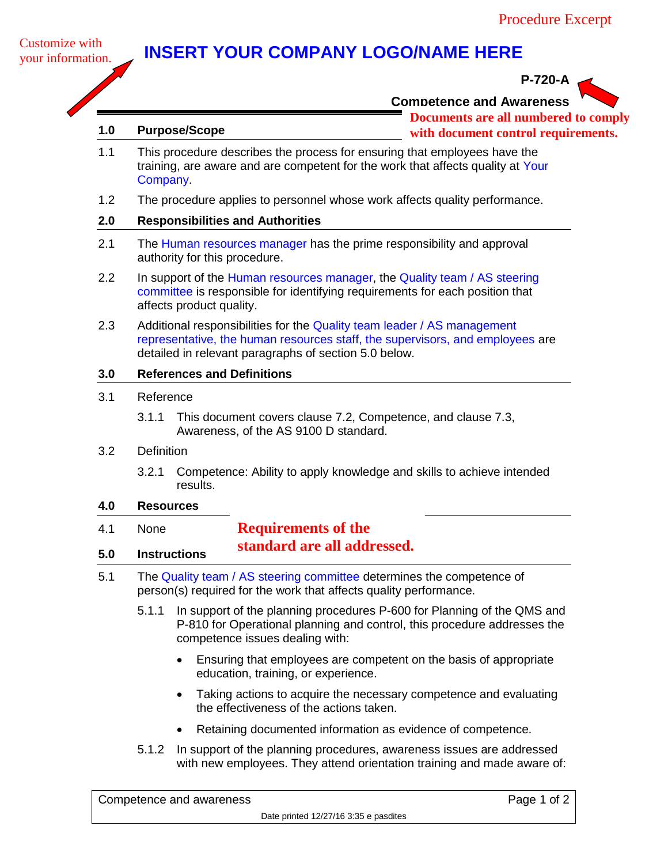## **INSERT YOUR COMPANY LOGO/NAME HERE**



# **P-720-A**

**Competence and Awareness**

**Documents are all numbered to comply**

**1.0 Purpose/Scope**

- **with document control requirements.**
- 1.1 This procedure describes the process for ensuring that employees have the training, are aware and are competent for the work that affects quality at Your Company.
- 1.2 The procedure applies to personnel whose work affects quality performance.

### **2.0 Responsibilities and Authorities**

- 2.1 The Human resources manager has the prime responsibility and approval authority for this procedure.
- 2.2 In support of the Human resources manager, the Quality team / AS steering committee is responsible for identifying requirements for each position that affects product quality.
- 2.3 Additional responsibilities for the Quality team leader / AS management representative, the human resources staff, the supervisors, and employees are detailed in relevant paragraphs of section 5.0 below.

#### **3.0 References and Definitions**

- 3.1 Reference
	- 3.1.1 This document covers clause 7.2, Competence, and clause 7.3, Awareness, of the AS 9100 D standard.
- 3.2 Definition
	- 3.2.1 Competence: Ability to apply knowledge and skills to achieve intended results.

#### **4.0 Resources**

- 4.1 None **5.0 Instructions Requirements of the standard are all addressed.**
- 5.1 The Quality team / AS steering committee determines the competence of person(s) required for the work that affects quality performance.
	- 5.1.1 In support of the planning procedures P-600 for Planning of the QMS and P-810 for Operational planning and control, this procedure addresses the competence issues dealing with:
		- Ensuring that employees are competent on the basis of appropriate education, training, or experience.
		- Taking actions to acquire the necessary competence and evaluating the effectiveness of the actions taken.
		- Retaining documented information as evidence of competence.
	- 5.1.2 In support of the planning procedures, awareness issues are addressed with new employees. They attend orientation training and made aware of:

| Competence and awareness |                                       | Page 1 of 2 |
|--------------------------|---------------------------------------|-------------|
|                          | Date printed 12/27/16 3:35 e pasdites |             |